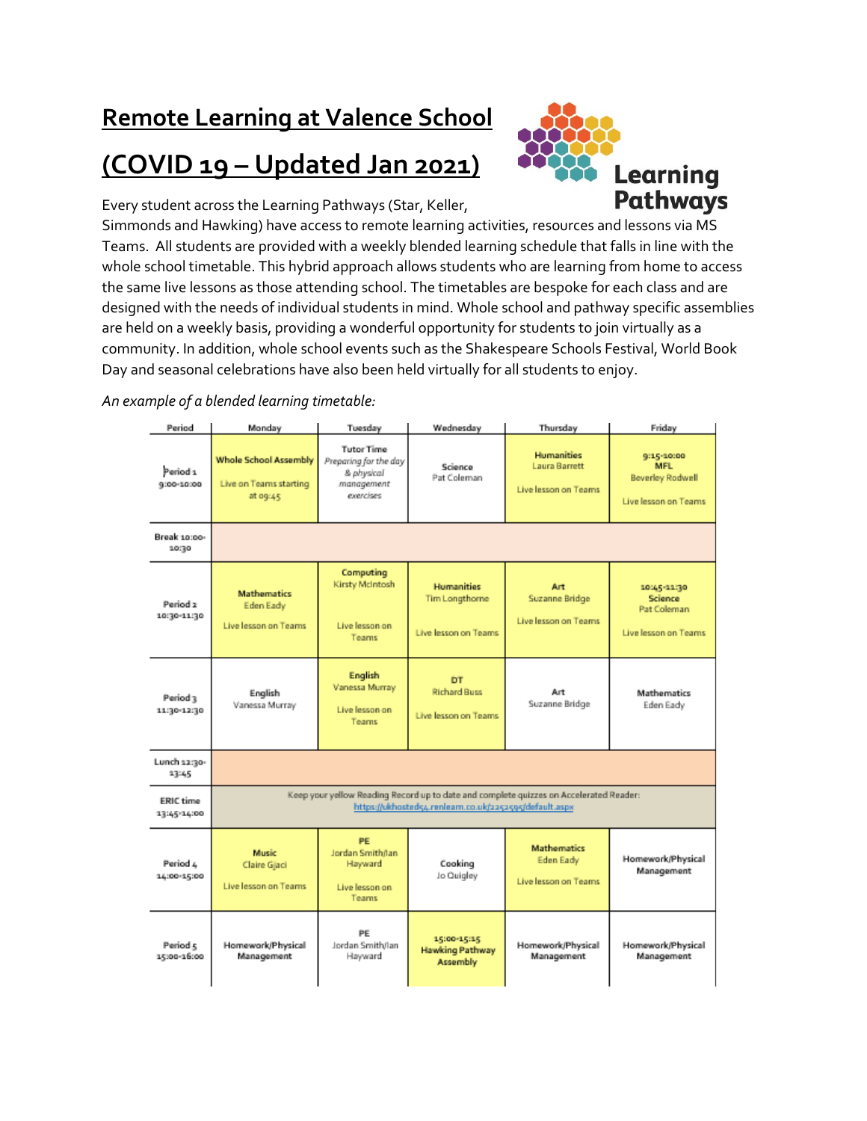## **Remote Learning at Valence School**

## **(COVID 19 – Updated Jan 2021)**



Every student across the Learning Pathways (Star, Keller,

Simmonds and Hawking) have access to remote learning activities, resources and lessons via MS Teams. All students are provided with a weekly blended learning schedule that falls in line with the whole school timetable. This hybrid approach allows students who are learning from home to access the same live lessons as those attending school. The timetables are bespoke for each class and are designed with the needs of individual students in mind. Whole school and pathway specific assemblies are held on a weekly basis, providing a wonderful opportunity for students to join virtually as a community. In addition, whole school events such as the Shakespeare Schools Festival, World Book Day and seasonal celebrations have also been held virtually for all students to enjoy.

*An example of a blended learning timetable:*

| Period                                | Monday                                                                                                                                          | Tuesday                                                                             | Wednesday                                                   | Thursday                                                          | Friday                                                                |
|---------------------------------------|-------------------------------------------------------------------------------------------------------------------------------------------------|-------------------------------------------------------------------------------------|-------------------------------------------------------------|-------------------------------------------------------------------|-----------------------------------------------------------------------|
| Period <sub>1</sub><br>$9:00 - 10:00$ | <b>Whole School Assembly</b><br>Live on Teams starting<br>at og:45                                                                              | <b>Tutor Time</b><br>Preparing for the day<br>& physical<br>management<br>exercises | Science<br>Pat Coleman                                      | <b>Humanities</b><br><b>Laura Barrett</b><br>Live lesson on Teams | 9:15-10:00<br>MFL.<br><b>Beverley Rodwell</b><br>Live lesson on Teams |
| Break 10:00-<br>10:30                 |                                                                                                                                                 |                                                                                     |                                                             |                                                                   |                                                                       |
| Period <sub>2</sub><br>10:30-11:30    | <b>Mathematics</b><br>Eden Eady<br>Live lesson on Teams                                                                                         | Computing<br>Kirsty McIntosh<br>Live lesson on<br><b>Teams</b>                      | <b>Humanities</b><br>Tim Longthorne<br>Live lesson on Teams | Art<br>Suzanne Bridge<br>Live lesson on Teams                     | 10:45:11:30<br><b>Science</b><br>Pat Coleman<br>Live lesson on Teams  |
| Period <sub>3</sub><br>11:30-12:30    | English<br>Vanessa Murray                                                                                                                       | <b>English</b><br>Vanessa Murray<br>Live lesson on<br><b>Teams</b>                  | DT<br><b>Richard Buss</b><br>Live lesson on Teams           | Art<br>Suzanne Bridge                                             | <b>Mathematics</b><br>Eden Eady                                       |
| Lunch 12:30-<br>13:45                 |                                                                                                                                                 |                                                                                     |                                                             |                                                                   |                                                                       |
| <b>ERIC time</b><br>13:45-14:00       | Keep your yellow Reading Record up to date and complete quizzes on Accelerated Reader:<br>https://ukhosteds4.renleam.co.uk/2252595/default.aspx |                                                                                     |                                                             |                                                                   |                                                                       |
| Period 4<br>14:00-15:00               | <b>Music</b><br>Claire Gjaci<br>Live lesson on Teams                                                                                            | PE<br>Jordan Smithñan<br>Hayward<br>Live lesson on<br><b>Teams</b>                  | Cooking<br>Jo Quigley                                       | <b>Mathematics</b><br>Eden Eady<br>Live lesson on Teams           | Homework/Physical<br>Management                                       |
| Period 5<br>15:00-16:00               | Homework/Physical<br>Management                                                                                                                 | PE<br>Jordan Smith/Jan<br>Hayward                                                   | 15:00-15:15<br><b>Hawking Pathway</b><br><b>Assembly</b>    | Homework/Physical<br>Management                                   | Homework/Physical<br>Management                                       |